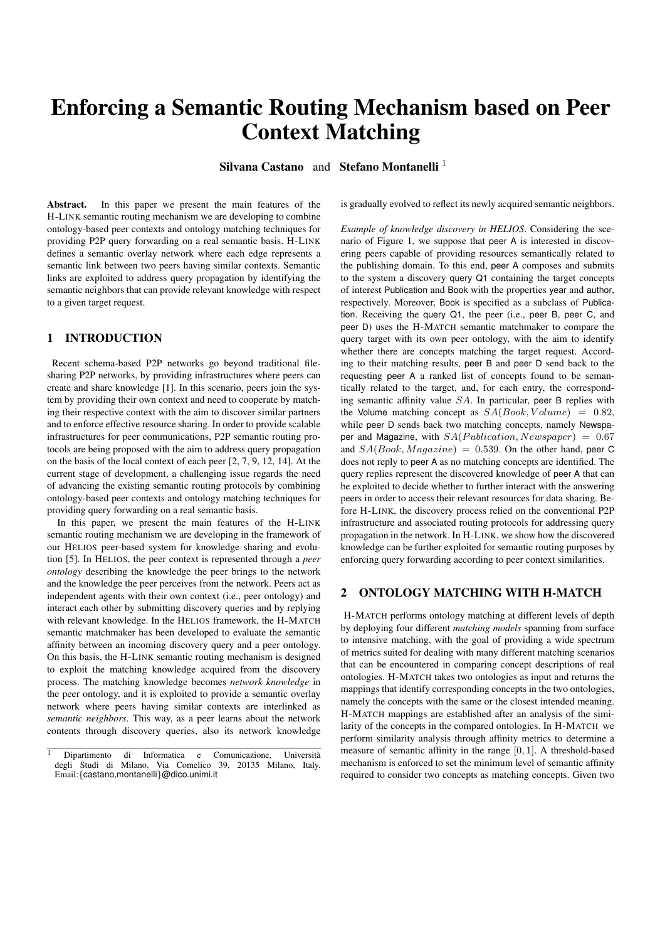# Enforcing a Semantic Routing Mechanism based on Peer Context Matching

Silvana Castano and Stefano Montanelli<sup>1</sup>

Abstract. In this paper we present the main features of the H-LINK semantic routing mechanism we are developing to combine ontology-based peer contexts and ontology matching techniques for providing P2P query forwarding on a real semantic basis. H-LINK defines a semantic overlay network where each edge represents a semantic link between two peers having similar contexts. Semantic links are exploited to address query propagation by identifying the semantic neighbors that can provide relevant knowledge with respect to a given target request.

## 1 INTRODUCTION

Recent schema-based P2P networks go beyond traditional filesharing P2P networks, by providing infrastructures where peers can create and share knowledge [1]. In this scenario, peers join the system by providing their own context and need to cooperate by matching their respective context with the aim to discover similar partners and to enforce effective resource sharing. In order to provide scalable infrastructures for peer communications, P2P semantic routing protocols are being proposed with the aim to address query propagation on the basis of the local context of each peer [2, 7, 9, 12, 14]. At the current stage of development, a challenging issue regards the need of advancing the existing semantic routing protocols by combining ontology-based peer contexts and ontology matching techniques for providing query forwarding on a real semantic basis.

In this paper, we present the main features of the H-LINK semantic routing mechanism we are developing in the framework of our HELIOS peer-based system for knowledge sharing and evolution [5]. In HELIOS, the peer context is represented through a *peer ontology* describing the knowledge the peer brings to the network and the knowledge the peer perceives from the network. Peers act as independent agents with their own context (i.e., peer ontology) and interact each other by submitting discovery queries and by replying with relevant knowledge. In the HELIOS framework, the H-MATCH semantic matchmaker has been developed to evaluate the semantic affinity between an incoming discovery query and a peer ontology. On this basis, the H-LINK semantic routing mechanism is designed to exploit the matching knowledge acquired from the discovery process. The matching knowledge becomes *network knowledge* in the peer ontology, and it is exploited to provide a semantic overlay network where peers having similar contexts are interlinked as *semantic neighbors*. This way, as a peer learns about the network contents through discovery queries, also its network knowledge

is gradually evolved to reflect its newly acquired semantic neighbors.

*Example of knowledge discovery in HELIOS*. Considering the scenario of Figure 1, we suppose that peer A is interested in discovering peers capable of providing resources semantically related to the publishing domain. To this end, peer A composes and submits to the system a discovery query Q1 containing the target concepts of interest Publication and Book with the properties year and author, respectively. Moreover, Book is specified as a subclass of Publication. Receiving the query Q1, the peer (i.e., peer B, peer C, and peer D) uses the H-MATCH semantic matchmaker to compare the query target with its own peer ontology, with the aim to identify whether there are concepts matching the target request. According to their matching results, peer B and peer D send back to the requesting peer A a ranked list of concepts found to be semantically related to the target, and, for each entry, the corresponding semantic affinity value  $SA$ . In particular, peer B replies with the Volume matching concept as  $SA(Book, Volume) = 0.82$ , while peer D sends back two matching concepts, namely Newspaper and Magazine, with  $SA(Publication, Newspaper) = 0.67$ and  $SA(Book, Magazine) = 0.539$ . On the other hand, peer C does not reply to peer A as no matching concepts are identified. The query replies represent the discovered knowledge of peer A that can be exploited to decide whether to further interact with the answering peers in order to access their relevant resources for data sharing. Before H-LINK, the discovery process relied on the conventional P2P infrastructure and associated routing protocols for addressing query propagation in the network. In H-LINK, we show how the discovered knowledge can be further exploited for semantic routing purposes by enforcing query forwarding according to peer context similarities.

## 2 ONTOLOGY MATCHING WITH H-MATCH

H-MATCH performs ontology matching at different levels of depth by deploying four different *matching models* spanning from surface to intensive matching, with the goal of providing a wide spectrum of metrics suited for dealing with many different matching scenarios that can be encountered in comparing concept descriptions of real ontologies. H-MATCH takes two ontologies as input and returns the mappings that identify corresponding concepts in the two ontologies, namely the concepts with the same or the closest intended meaning. H-MATCH mappings are established after an analysis of the similarity of the concepts in the compared ontologies. In H-MATCH we perform similarity analysis through affinity metrics to determine a measure of semantic affinity in the range [0, 1]. A threshold-based mechanism is enforced to set the minimum level of semantic affinity required to consider two concepts as matching concepts. Given two

<sup>1</sup> Dipartimento di Informatica e Comunicazione, Universita` degli Studi di Milano. Via Comelico 39, 20135 Milano, Italy. Email:{castano,montanelli}@dico.unimi.it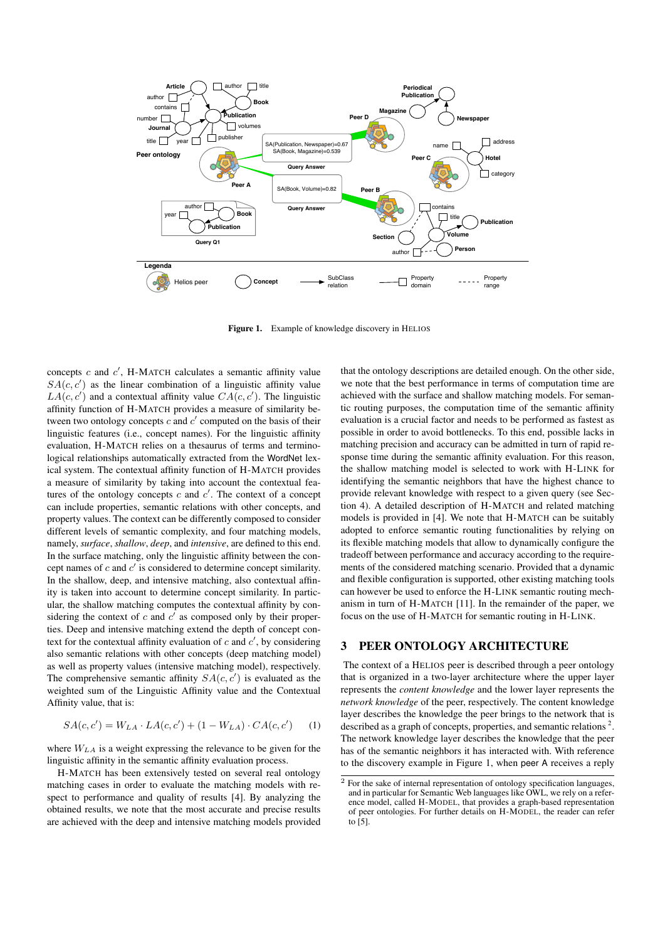

Figure 1. Example of knowledge discovery in HELIOS

concepts  $c$  and  $c'$ , H-MATCH calculates a semantic affinity value  $SA(c, c')$  as the linear combination of a linguistic affinity value  $LA(c, c')$  and a contextual affinity value  $CA(c, c')$ . The linguistic affinity function of H-MATCH provides a measure of similarity between two ontology concepts  $c$  and  $c'$  computed on the basis of their linguistic features (i.e., concept names). For the linguistic affinity evaluation, H-MATCH relies on a thesaurus of terms and terminological relationships automatically extracted from the WordNet lexical system. The contextual affinity function of H-MATCH provides a measure of similarity by taking into account the contextual features of the ontology concepts  $c$  and  $c'$ . The context of a concept can include properties, semantic relations with other concepts, and property values. The context can be differently composed to consider different levels of semantic complexity, and four matching models, namely, *surface*, *shallow*, *deep*, and *intensive*, are defined to this end. In the surface matching, only the linguistic affinity between the concept names of  $c$  and  $c'$  is considered to determine concept similarity. In the shallow, deep, and intensive matching, also contextual affinity is taken into account to determine concept similarity. In particular, the shallow matching computes the contextual affinity by considering the context of  $c$  and  $c'$  as composed only by their properties. Deep and intensive matching extend the depth of concept context for the contextual affinity evaluation of  $c$  and  $c'$ , by considering also semantic relations with other concepts (deep matching model) as well as property values (intensive matching model), respectively. The comprehensive semantic affinity  $SA(c, c')$  is evaluated as the weighted sum of the Linguistic Affinity value and the Contextual Affinity value, that is:

$$
SA(c, c') = W_{LA} \cdot LA(c, c') + (1 - W_{LA}) \cdot CA(c, c') \tag{1}
$$

where  $W_{LA}$  is a weight expressing the relevance to be given for the linguistic affinity in the semantic affinity evaluation process.

H-MATCH has been extensively tested on several real ontology matching cases in order to evaluate the matching models with respect to performance and quality of results [4]. By analyzing the obtained results, we note that the most accurate and precise results are achieved with the deep and intensive matching models provided

that the ontology descriptions are detailed enough. On the other side, we note that the best performance in terms of computation time are achieved with the surface and shallow matching models. For semantic routing purposes, the computation time of the semantic affinity evaluation is a crucial factor and needs to be performed as fastest as possible in order to avoid bottlenecks. To this end, possible lacks in matching precision and accuracy can be admitted in turn of rapid response time during the semantic affinity evaluation. For this reason, the shallow matching model is selected to work with H-LINK for identifying the semantic neighbors that have the highest chance to provide relevant knowledge with respect to a given query (see Section 4). A detailed description of H-MATCH and related matching models is provided in [4]. We note that H-MATCH can be suitably adopted to enforce semantic routing functionalities by relying on its flexible matching models that allow to dynamically configure the tradeoff between performance and accuracy according to the requirements of the considered matching scenario. Provided that a dynamic and flexible configuration is supported, other existing matching tools can however be used to enforce the H-LINK semantic routing mechanism in turn of H-MATCH [11]. In the remainder of the paper, we focus on the use of H-MATCH for semantic routing in H-LINK.

## 3 PEER ONTOLOGY ARCHITECTURE

The context of a HELIOS peer is described through a peer ontology that is organized in a two-layer architecture where the upper layer represents the *content knowledge* and the lower layer represents the *network knowledge* of the peer, respectively. The content knowledge layer describes the knowledge the peer brings to the network that is described as a graph of concepts, properties, and semantic relations<sup>2</sup>. The network knowledge layer describes the knowledge that the peer has of the semantic neighbors it has interacted with. With reference to the discovery example in Figure 1, when peer A receives a reply

<sup>&</sup>lt;sup>2</sup> For the sake of internal representation of ontology specification languages, and in particular for Semantic Web languages like OWL, we rely on a reference model, called H-MODEL, that provides a graph-based representation of peer ontologies. For further details on H-MODEL, the reader can refer to [5].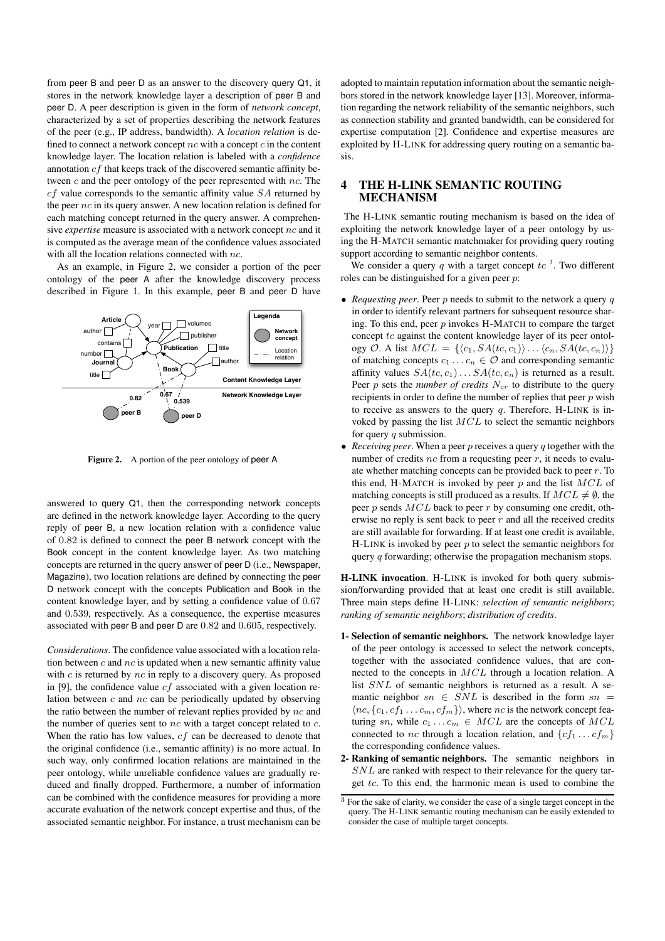from peer B and peer D as an answer to the discovery query Q1, it stores in the network knowledge layer a description of peer B and peer D. A peer description is given in the form of *network concept*, characterized by a set of properties describing the network features of the peer (e.g., IP address, bandwidth). A *location relation* is defined to connect a network concept  $nc$  with a concept  $c$  in the content knowledge layer. The location relation is labeled with a *confidence* annotation  $cf$  that keeps track of the discovered semantic affinity between  $c$  and the peer ontology of the peer represented with  $nc$ . The  $cf$  value corresponds to the semantic affinity value  $SA$  returned by the peer  $nc$  in its query answer. A new location relation is defined for each matching concept returned in the query answer. A comprehensive *expertise* measure is associated with a network concept nc and it is computed as the average mean of the confidence values associated with all the location relations connected with  $nc$ .

As an example, in Figure 2, we consider a portion of the peer ontology of the peer A after the knowledge discovery process described in Figure 1. In this example, peer B and peer D have



Figure 2. A portion of the peer ontology of peer A

answered to query Q1, then the corresponding network concepts are defined in the network knowledge layer. According to the query reply of peer B, a new location relation with a confidence value of 0.82 is defined to connect the peer B network concept with the Book concept in the content knowledge layer. As two matching concepts are returned in the query answer of peer D (i.e., Newspaper, Magazine), two location relations are defined by connecting the peer D network concept with the concepts Publication and Book in the content knowledge layer, and by setting a confidence value of 0.67 and 0.539, respectively. As a consequence, the expertise measures associated with peer B and peer D are 0.82 and 0.605, respectively.

*Considerations*. The confidence value associated with a location relation between  $c$  and  $nc$  is updated when a new semantic affinity value with  $c$  is returned by  $nc$  in reply to a discovery query. As proposed in [9], the confidence value  $cf$  associated with a given location relation between  $c$  and  $nc$  can be periodically updated by observing the ratio between the number of relevant replies provided by  $nc$  and the number of queries sent to  $nc$  with a target concept related to  $c$ . When the ratio has low values,  $cf$  can be decreased to denote that the original confidence (i.e., semantic affinity) is no more actual. In such way, only confirmed location relations are maintained in the peer ontology, while unreliable confidence values are gradually reduced and finally dropped. Furthermore, a number of information can be combined with the confidence measures for providing a more accurate evaluation of the network concept expertise and thus, of the associated semantic neighbor. For instance, a trust mechanism can be adopted to maintain reputation information about the semantic neighbors stored in the network knowledge layer [13]. Moreover, information regarding the network reliability of the semantic neighbors, such as connection stability and granted bandwidth, can be considered for expertise computation [2]. Confidence and expertise measures are exploited by H-LINK for addressing query routing on a semantic basis.

#### 4 THE H-LINK SEMANTIC ROUTING MECHANISM

The H-LINK semantic routing mechanism is based on the idea of exploiting the network knowledge layer of a peer ontology by using the H-MATCH semantic matchmaker for providing query routing support according to semantic neighbor contents.

We consider a query q with a target concept  $tc<sup>3</sup>$ . Two different roles can be distinguished for a given peer  $p$ :

- *Requesting peer*. Peer p needs to submit to the network a query q in order to identify relevant partners for subsequent resource sharing. To this end, peer  $p$  invokes H-MATCH to compare the target concept tc against the content knowledge layer of its peer ontology  $\mathcal{O}$ . A list  $MCL = \{\langle c_1, SA(tc, c_1) \rangle \dots \langle c_n, SA(tc, c_n) \rangle \}$ of matching concepts  $c_1 \ldots c_n \in \mathcal{O}$  and corresponding semantic affinity values  $SA(tc, c_1) \ldots SA(tc, c_n)$  is returned as a result. Peer  $p$  sets the *number of credits*  $N_{cr}$  to distribute to the query recipients in order to define the number of replies that peer  $p$  wish to receive as answers to the query  $q$ . Therefore, H-LINK is invoked by passing the list MCL to select the semantic neighbors for query  $q$  submission.
- *Receiving peer*. When a peer p receives a query q together with the number of credits  $nc$  from a requesting peer  $r$ , it needs to evaluate whether matching concepts can be provided back to peer r. To this end, H-MATCH is invoked by peer  $p$  and the list  $MCL$  of matching concepts is still produced as a results. If  $MCL \neq \emptyset$ , the peer  $p$  sends  $MCL$  back to peer  $r$  by consuming one credit, otherwise no reply is sent back to peer  $r$  and all the received credits are still available for forwarding. If at least one credit is available, H-LINK is invoked by peer  $p$  to select the semantic neighbors for query  $q$  forwarding; otherwise the propagation mechanism stops.

H-LINK invocation. H-LINK is invoked for both query submission/forwarding provided that at least one credit is still available. Three main steps define H-LINK: *selection of semantic neighbors*; *ranking of semantic neighbors*; *distribution of credits*.

- 1- Selection of semantic neighbors. The network knowledge layer of the peer ontology is accessed to select the network concepts, together with the associated confidence values, that are connected to the concepts in MCL through a location relation. A list SNL of semantic neighbors is returned as a result. A semantic neighbor  $sn \in SNL$  is described in the form  $sn =$  $\langle nc, \{c_1, cf_1 \dots c_m, cf_m\}\rangle$ , where nc is the network concept featuring sn, while  $c_1 \ldots c_m \in MCL$  are the concepts of  $MCL$ connected to nc through a location relation, and  $\{cf_1 \dots cf_m\}$ the corresponding confidence values.
- 2- Ranking of semantic neighbors. The semantic neighbors in SNL are ranked with respect to their relevance for the query target tc. To this end, the harmonic mean is used to combine the

 $\frac{3}{3}$  For the sake of clarity, we consider the case of a single target concept in the query. The H-LINK semantic routing mechanism can be easily extended to consider the case of multiple target concepts.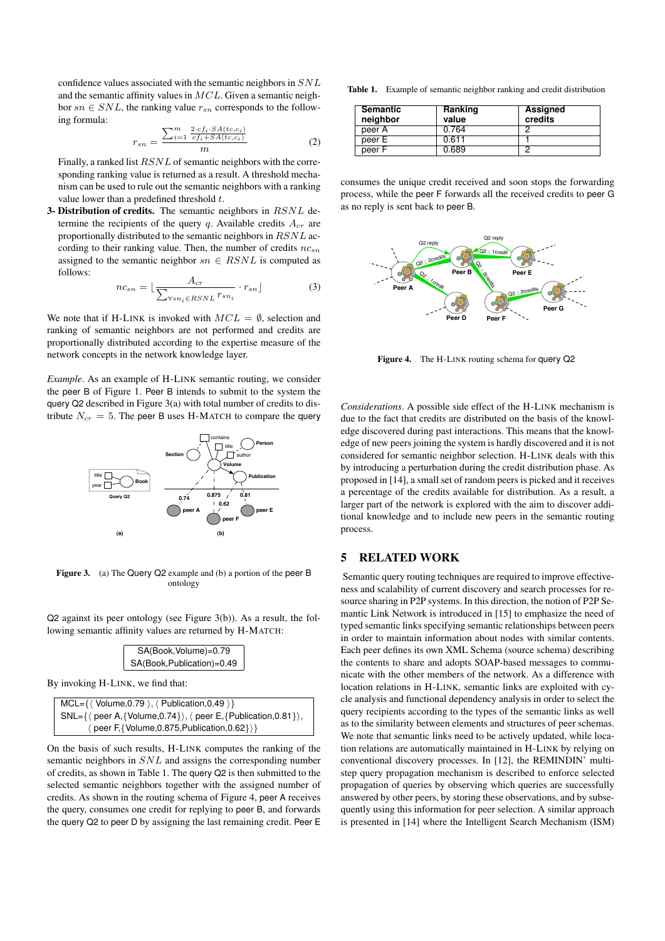confidence values associated with the semantic neighbors in SNL and the semantic affinity values in  $MCL$ . Given a semantic neighbor  $sn \in SNL$ , the ranking value  $r_{sn}$  corresponds to the following formula:

$$
r_{sn} = \frac{\sum_{i=1}^{m} \frac{2 \cdot c f_i \cdot SA(tc, c_i)}{c f_i + SA(tc, c_i)}}{m}
$$
 (2)

Finally, a ranked list RSNL of semantic neighbors with the corresponding ranking value is returned as a result. A threshold mechanism can be used to rule out the semantic neighbors with a ranking value lower than a predefined threshold  $t$ .

3- Distribution of credits. The semantic neighbors in RSNL determine the recipients of the query q. Available credits  $A_{cr}$  are proportionally distributed to the semantic neighbors in RSNL according to their ranking value. Then, the number of credits  $nc_{sn}$ assigned to the semantic neighbor  $sn \in RSNL$  is computed as follows:

$$
nc_{sn} = \lfloor \frac{A_{cr}}{\sum_{\forall sn_i \in RSNL} r_{sn_i}} \cdot r_{sn} \rfloor
$$
 (3)

We note that if H-LINK is invoked with  $MCL = \emptyset$ , selection and ranking of semantic neighbors are not performed and credits are proportionally distributed according to the expertise measure of the network concepts in the network knowledge layer.

*Example*. As an example of H-LINK semantic routing, we consider the peer B of Figure 1. Peer B intends to submit to the system the query Q2 described in Figure 3(a) with total number of credits to distribute  $N_{cr} = 5$ . The peer B uses H-MATCH to compare the query



Figure 3. (a) The Query Q2 example and (b) a portion of the peer B ontology

Q2 against its peer ontology (see Figure 3(b)). As a result, the following semantic affinity values are returned by H-MATCH:

| SA(Book, Volume)=0.79      |
|----------------------------|
| SA(Book, Publication)=0.49 |
|                            |

By invoking H-LINK, we find that:

| MCL={ $\langle$ Volume,0.79 $\rangle$ , $\langle$ Publication,0.49 $\rangle$ }                         |
|--------------------------------------------------------------------------------------------------------|
| $SNL = \{ \langle peer A, \{Volume, 0.74\} \rangle, \langle peer E, \{Publication, 0.81\} \rangle, \}$ |
| $\langle$ peer F, {Volume, 0.875, Publication, 0.62}}                                                  |

On the basis of such results, H-LINK computes the ranking of the semantic neighbors in SNL and assigns the corresponding number of credits, as shown in Table 1. The query Q2 is then submitted to the selected semantic neighbors together with the assigned number of credits. As shown in the routing schema of Figure 4, peer A receives the query, consumes one credit for replying to peer B, and forwards the query Q2 to peer D by assigning the last remaining credit. Peer E

Table 1. Example of semantic neighbor ranking and credit distribution

| <b>Semantic</b><br>neighbor | Ranking<br>value | Assigned<br>credits |
|-----------------------------|------------------|---------------------|
| peer A                      | 0.764            |                     |
| peer E                      | 0.611            |                     |
| peer F                      | 0.689            |                     |

consumes the unique credit received and soon stops the forwarding process, while the peer F forwards all the received credits to peer G as no reply is sent back to peer B.



Figure 4. The H-LINK routing schema for query Q2

*Considerations*. A possible side effect of the H-LINK mechanism is due to the fact that credits are distributed on the basis of the knowledge discovered during past interactions. This means that the knowledge of new peers joining the system is hardly discovered and it is not considered for semantic neighbor selection. H-LINK deals with this by introducing a perturbation during the credit distribution phase. As proposed in [14], a small set of random peers is picked and it receives a percentage of the credits available for distribution. As a result, a larger part of the network is explored with the aim to discover additional knowledge and to include new peers in the semantic routing process.

#### 5 RELATED WORK

Semantic query routing techniques are required to improve effectiveness and scalability of current discovery and search processes for resource sharing in P2P systems. In this direction, the notion of P2P Semantic Link Network is introduced in [15] to emphasize the need of typed semantic links specifying semantic relationships between peers in order to maintain information about nodes with similar contents. Each peer defines its own XML Schema (source schema) describing the contents to share and adopts SOAP-based messages to communicate with the other members of the network. As a difference with location relations in H-LINK, semantic links are exploited with cycle analysis and functional dependency analysis in order to select the query recipients according to the types of the semantic links as well as to the similarity between elements and structures of peer schemas. We note that semantic links need to be actively updated, while location relations are automatically maintained in H-LINK by relying on conventional discovery processes. In [12], the REMINDIN' multistep query propagation mechanism is described to enforce selected propagation of queries by observing which queries are successfully answered by other peers, by storing these observations, and by subsequently using this information for peer selection. A similar approach is presented in [14] where the Intelligent Search Mechanism (ISM)